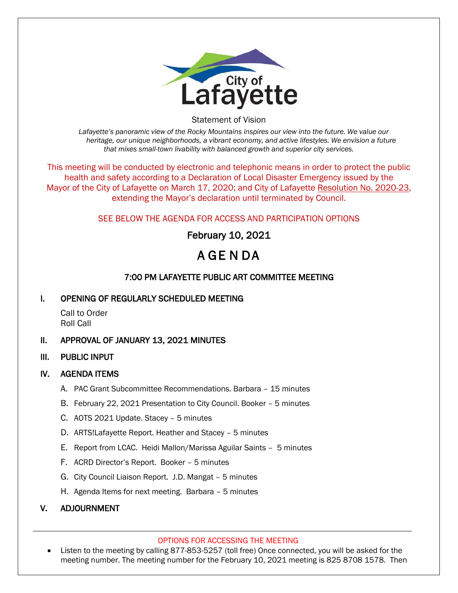

Statement of Vision

*Lafayette's panoramic view of the Rocky Mountains inspires our view into the future. We value our heritage, our unique neighborhoods, a vibrant economy, and active lifestyles. We envision a future that mixes small-town livability with balanced growth and superior city services.*

This meeting will be conducted by electronic and telephonic means in order to protect the public health and safety according to a Declaration of Local Disaster Emergency issued by the Mayor of the City of Lafayette on March 17, 2020; and City of Lafayette Resolution No. 2020-23, extending the Mayor's declaration until terminated by Council.

### SEE BELOW THE AGENDA FOR ACCESS AND PARTICIPATION OPTIONS

# February 10, 2021

# A GE N DA

## 7:00 PM LAFAYETTE PUBLIC ART COMMITTEE MEETING

#### I. OPENING OF REGULARLY SCHEDULED MEETING

Call to Order Roll Call

#### II. APPROVAL OF JANUARY 13, 2021 MINUTES

III. PUBLIC INPUT

#### IV. AGENDA ITEMS

- A. PAC Grant Subcommittee Recommendations. Barbara 15 minutes
- B. February 22, 2021 Presentation to City Council. Booker 5 minutes
- C. AOTS 2021 Update. Stacey 5 minutes
- D. ARTS!Lafayette Report. Heather and Stacey 5 minutes
- E. Report from LCAC. Heidi Mallon/Marissa Aguilar Saints 5 minutes
- F. ACRD Director's Report. Booker 5 minutes
- G. City Council Liaison Report. J.D. Mangat 5 minutes
- H. Agenda Items for next meeting. Barbara 5 minutes

#### V. ADJOURNMENT

#### OPTIONS FOR ACCESSING THE MEETING

• Listen to the meeting by calling 877-853-5257 (toll free) Once connected, you will be asked for the meeting number. The meeting number for the February 10, 2021 meeting is 825 8708 1578. Then